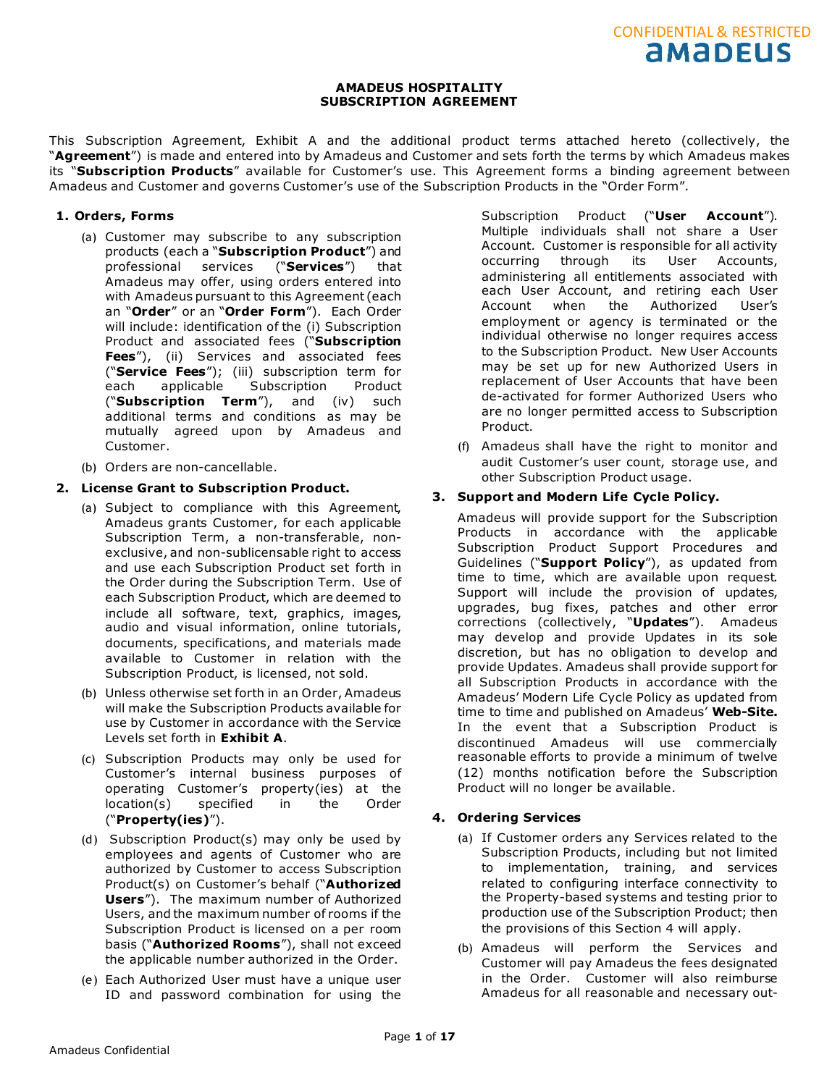This Subscription Agreement, Exhibit A and the additional product terms attached hereto (collectively, the "**Agreement**") is made and entered into by Amadeus and Customer and sets forth the terms by which Amadeus makes its "**Subscription Products**" available for Customer's use. This Agreement forms a binding agreement between Amadeus and Customer and governs Customer's use of the Subscription Products in the "Order Form".

# **1. Orders, Forms**

- (a) Customer may subscribe to any subscription products (each a "**Subscription Product**") and professional services ("**Services**") that Amadeus may offer, using orders entered into with Amadeus pursuant to this Agreement (each an "**Order**" or an "**Order Form**"). Each Order will include: identification of the (i) Subscription Product and associated fees ("**Subscription Fees**"), (ii) Services and associated fees ("**Service Fees**"); (iii) subscription term for each applicable Subscription Product ("**Subscription Term**"), and (iv) such additional terms and conditions as may be mutually agreed upon by Amadeus and Customer.
- (b) Orders are non-cancellable.

# **2. License Grant to Subscription Product.**

- (a) Subject to compliance with this Agreement, Amadeus grants Customer, for each applicable Subscription Term, a non-transferable, nonexclusive, and non-sublicensable right to access and use each Subscription Product set forth in the Order during the Subscription Term. Use of each Subscription Product, which are deemed to include all software, text, graphics, images, audio and visual information, online tutorials, documents, specifications, and materials made available to Customer in relation with the Subscription Product, is licensed, not sold.
- (b) Unless otherwise set forth in an Order, Amadeus will make the Subscription Products available for use by Customer in accordance with the Service Levels set forth in **Exhibit A**.
- (c) Subscription Products may only be used for Customer's internal business purposes of operating Customer's property(ies) at the location(s) specified in the Order ("**Property(ies)**").
- (d) Subscription Product(s) may only be used by employees and agents of Customer who are authorized by Customer to access Subscription Product(s) on Customer's behalf ("**Authorized Users**"). The maximum number of Authorized Users, and the maximum number of rooms if the Subscription Product is licensed on a per room basis ("**Authorized Rooms**"), shall not exceed the applicable number authorized in the Order.
- (e) Each Authorized User must have a unique user ID and password combination for using the

Subscription Product ("**User Account**"). Multiple individuals shall not share a User Account. Customer is responsible for all activity occurring through its User Accounts, administering all entitlements associated with each User Account, and retiring each User Account when the Authorized User's employment or agency is terminated or the individual otherwise no longer requires access to the Subscription Product. New User Accounts may be set up for new Authorized Users in replacement of User Accounts that have been de-activated for former Authorized Users who are no longer permitted access to Subscription Product.

CONFIDENTIAL & RESTRICTED

(f) Amadeus shall have the right to monitor and audit Customer's user count, storage use, and other Subscription Product usage.

# **3. Support and Modern Life Cycle Policy.**

Amadeus will provide support for the Subscription Products in accordance with the applicable Subscription Product Support Procedures and Guidelines ("**Support Policy**"), as updated from time to time, which are available upon request. Support will include the provision of updates, upgrades, bug fixes, patches and other error corrections (collectively, "**Updates**"). Amadeus may develop and provide Updates in its sole discretion, but has no obligation to develop and provide Updates. Amadeus shall provide support for all Subscription Products in accordance with the Amadeus' Modern Life Cycle Policy as updated from time to time and published on Amadeus' **Web-Site.** In the event that a Subscription Product is discontinued Amadeus will use commercially reasonable efforts to provide a minimum of twelve (12) months notification before the Subscription Product will no longer be available.

# **4. Ordering Services**

- (a) If Customer orders any Services related to the Subscription Products, including but not limited to implementation, training, and services related to configuring interface connectivity to the Property-based systems and testing prior to production use of the Subscription Product; then the provisions of this Section 4 will apply.
- (b) Amadeus will perform the Services and Customer will pay Amadeus the fees designated in the Order. Customer will also reimburse Amadeus for all reasonable and necessary out-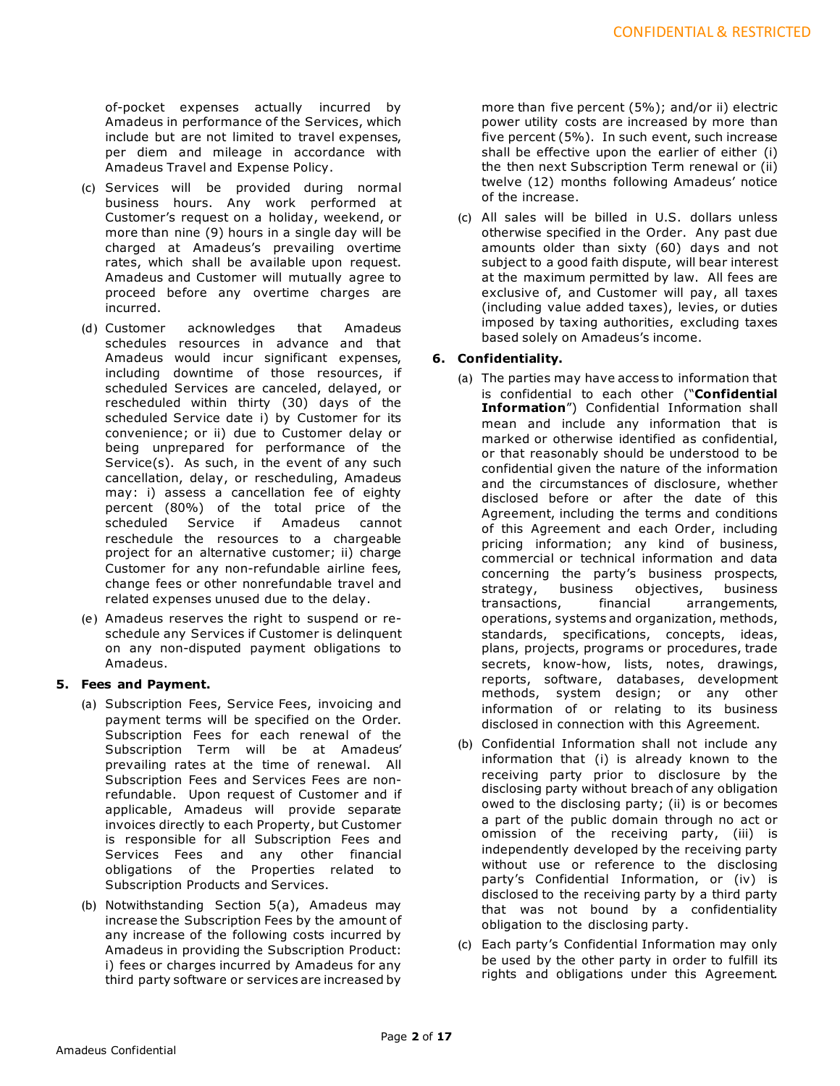of-pocket expenses actually incurred by Amadeus in performance of the Services, which include but are not limited to travel expenses, per diem and mileage in accordance with Amadeus Travel and Expense Policy.

- (c) Services will be provided during normal business hours. Any work performed at Customer's request on a holiday, weekend, or more than nine (9) hours in a single day will be charged at Amadeus's prevailing overtime rates, which shall be available upon request. Amadeus and Customer will mutually agree to proceed before any overtime charges are incurred.
- (d) Customer acknowledges that Amadeus schedules resources in advance and that Amadeus would incur significant expenses, including downtime of those resources, if scheduled Services are canceled, delayed, or rescheduled within thirty (30) days of the scheduled Service date i) by Customer for its convenience; or ii) due to Customer delay or being unprepared for performance of the Service(s). As such, in the event of any such cancellation, delay, or rescheduling, Amadeus may: i) assess a cancellation fee of eighty percent (80%) of the total price of the scheduled Service if Amadeus cannot reschedule the resources to a chargeable project for an alternative customer; ii) charge Customer for any non-refundable airline fees, change fees or other nonrefundable travel and related expenses unused due to the delay.
- (e) Amadeus reserves the right to suspend or reschedule any Services if Customer is delinquent on any non-disputed payment obligations to Amadeus.

# **5. Fees and Payment.**

- (a) Subscription Fees, Service Fees, invoicing and payment terms will be specified on the Order. Subscription Fees for each renewal of the Subscription Term will be at Amadeus' prevailing rates at the time of renewal. All Subscription Fees and Services Fees are nonrefundable. Upon request of Customer and if applicable, Amadeus will provide separate invoices directly to each Property, but Customer is responsible for all Subscription Fees and Services Fees and any other financial obligations of the Properties related to Subscription Products and Services.
- (b) Notwithstanding Section 5(a), Amadeus may increase the Subscription Fees by the amount of any increase of the following costs incurred by Amadeus in providing the Subscription Product: i) fees or charges incurred by Amadeus for any third party software or services are increased by

more than five percent (5%); and/or ii) electric power utility costs are increased by more than five percent (5%). In such event, such increase shall be effective upon the earlier of either (i) the then next Subscription Term renewal or (ii) twelve (12) months following Amadeus' notice of the increase.

(c) All sales will be billed in U.S. dollars unless otherwise specified in the Order. Any past due amounts older than sixty (60) days and not subject to a good faith dispute, will bear interest at the maximum permitted by law. All fees are exclusive of, and Customer will pay, all taxes (including value added taxes), levies, or duties imposed by taxing authorities, excluding taxes based solely on Amadeus's income.

# **6. Confidentiality.**

- (a) The parties may have access to information that is confidential to each other ("**Confidential Information**") Confidential Information shall mean and include any information that is marked or otherwise identified as confidential, or that reasonably should be understood to be confidential given the nature of the information and the circumstances of disclosure, whether disclosed before or after the date of this Agreement, including the terms and conditions of this Agreement and each Order, including pricing information; any kind of business, commercial or technical information and data concerning the party's business prospects, strategy, business objectives, business transactions, financial arrangements, operations, systems and organization, methods, standards, specifications, concepts, ideas, plans, projects, programs or procedures, trade secrets, know-how, lists, notes, drawings, reports, software, databases, development methods, system design; or any other information of or relating to its business disclosed in connection with this Agreement.
- (b) Confidential Information shall not include any information that (i) is already known to the receiving party prior to disclosure by the disclosing party without breach of any obligation owed to the disclosing party; (ii) is or becomes a part of the public domain through no act or omission of the receiving party, (iii) is independently developed by the receiving party without use or reference to the disclosing party's Confidential Information, or (iv) is disclosed to the receiving party by a third party that was not bound by a confidentiality obligation to the disclosing party.
- (c) Each party's Confidential Information may only be used by the other party in order to fulfill its rights and obligations under this Agreement.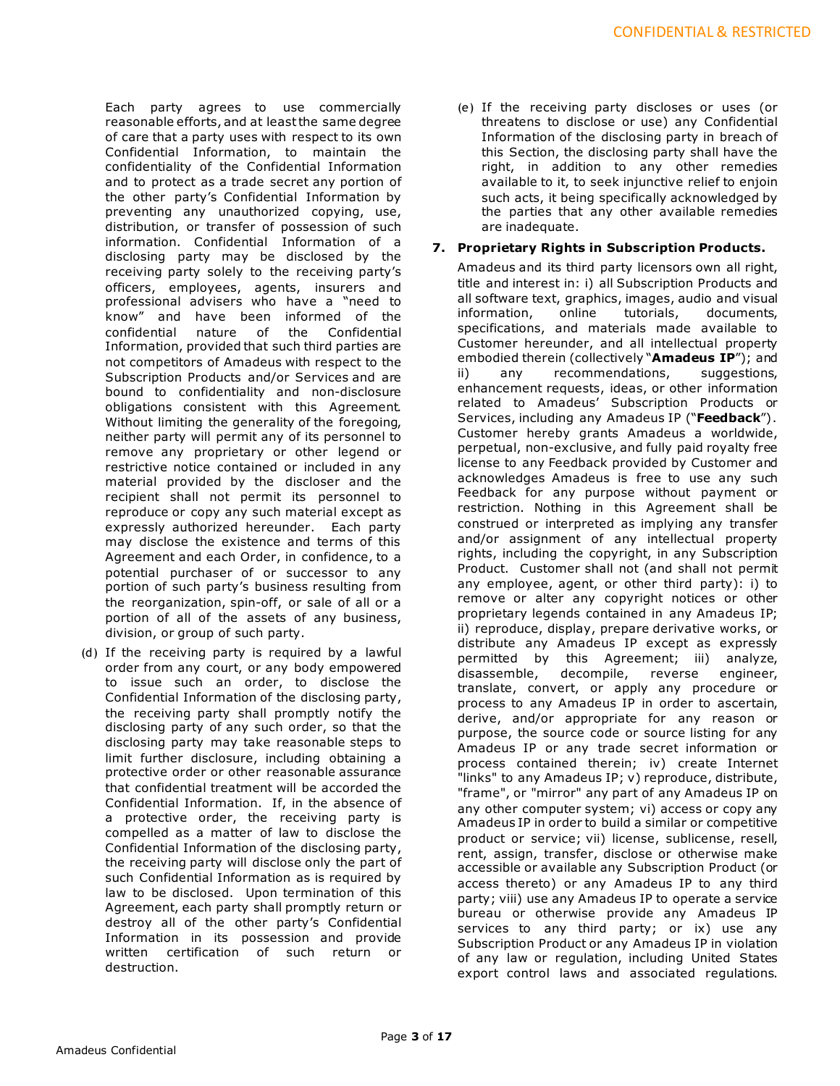Each party agrees to use commercially reasonable efforts, and at least the same degree of care that a party uses with respect to its own Confidential Information, to maintain the confidentiality of the Confidential Information and to protect as a trade secret any portion of the other party's Confidential Information by preventing any unauthorized copying, use, distribution, or transfer of possession of such information. Confidential Information of a disclosing party may be disclosed by the receiving party solely to the receiving party's officers, employees, agents, insurers and professional advisers who have a "need to know" and have been informed of the confidential nature of the Confidential Information, provided that such third parties are not competitors of Amadeus with respect to the Subscription Products and/or Services and are bound to confidentiality and non-disclosure obligations consistent with this Agreement. Without limiting the generality of the foregoing, neither party will permit any of its personnel to remove any proprietary or other legend or restrictive notice contained or included in any material provided by the discloser and the recipient shall not permit its personnel to reproduce or copy any such material except as expressly authorized hereunder. Each party may disclose the existence and terms of this Agreement and each Order, in confidence, to a potential purchaser of or successor to any portion of such party's business resulting from the reorganization, spin-off, or sale of all or a portion of all of the assets of any business, division, or group of such party.

(d) If the receiving party is required by a lawful order from any court, or any body empowered to issue such an order, to disclose the Confidential Information of the disclosing party, the receiving party shall promptly notify the disclosing party of any such order, so that the disclosing party may take reasonable steps to limit further disclosure, including obtaining a protective order or other reasonable assurance that confidential treatment will be accorded the Confidential Information. If, in the absence of a protective order, the receiving party is compelled as a matter of law to disclose the Confidential Information of the disclosing party, the receiving party will disclose only the part of such Confidential Information as is required by law to be disclosed. Upon termination of this Agreement, each party shall promptly return or destroy all of the other party's Confidential Information in its possession and provide written certification of such return or destruction.

(e) If the receiving party discloses or uses (or threatens to disclose or use) any Confidential Information of the disclosing party in breach of this Section, the disclosing party shall have the right, in addition to any other remedies available to it, to seek injunctive relief to enjoin such acts, it being specifically acknowledged by the parties that any other available remedies are inadequate.

# **7. Proprietary Rights in Subscription Products.**

Amadeus and its third party licensors own all right, title and interest in: i) all Subscription Products and all software text, graphics, images, audio and visual<br>information. online tutorials. documents. information. specifications, and materials made available to Customer hereunder, and all intellectual property embodied therein (collectively "**Amadeus IP**"); and ii) any recommendations, suggestions, enhancement requests, ideas, or other information related to Amadeus' Subscription Products or Services, including any Amadeus IP ("**Feedback**") . Customer hereby grants Amadeus a worldwide, perpetual, non-exclusive, and fully paid royalty free license to any Feedback provided by Customer and acknowledges Amadeus is free to use any such Feedback for any purpose without payment or restriction. Nothing in this Agreement shall be construed or interpreted as implying any transfer and/or assignment of any intellectual property rights, including the copyright, in any Subscription Product. Customer shall not (and shall not permit any employee, agent, or other third party): i) to remove or alter any copyright notices or other proprietary legends contained in any Amadeus IP; ii) reproduce, display, prepare derivative works, or distribute any Amadeus IP except as expressly permitted by this Agreement; iii) analyze, disassemble, decompile, reverse engineer, translate, convert, or apply any procedure or process to any Amadeus IP in order to ascertain, derive, and/or appropriate for any reason or purpose, the source code or source listing for any Amadeus IP or any trade secret information or process contained therein; iv) create Internet "links" to any Amadeus IP; v) reproduce, distribute, "frame", or "mirror" any part of any Amadeus IP on any other computer system; vi) access or copy any Amadeus IP in order to build a similar or competitive product or service; vii) license, sublicense, resell, rent, assign, transfer, disclose or otherwise make accessible or available any Subscription Product (or access thereto) or any Amadeus IP to any third party; viii) use any Amadeus IP to operate a service bureau or otherwise provide any Amadeus IP services to any third party; or ix) use any Subscription Product or any Amadeus IP in violation of any law or regulation, including United States export control laws and associated regulations.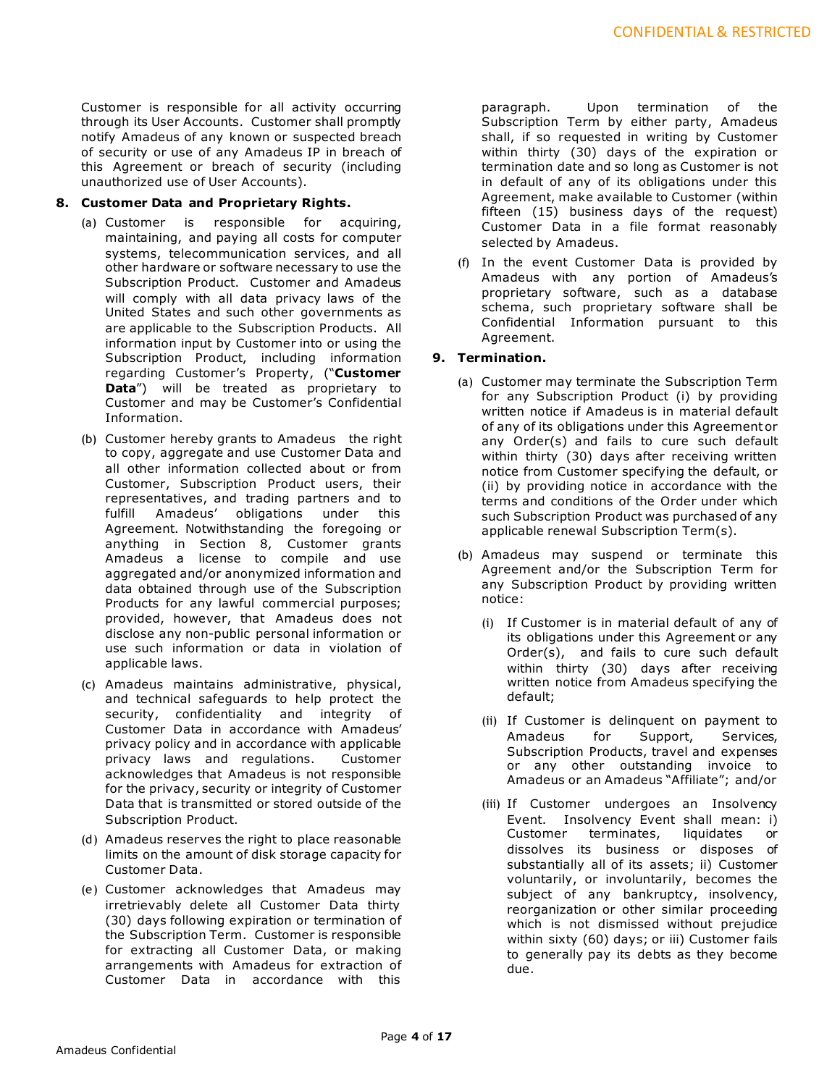Customer is responsible for all activity occurring through its User Accounts. Customer shall promptly notify Amadeus of any known or suspected breach of security or use of any Amadeus IP in breach of this Agreement or breach of security (including unauthorized use of User Accounts).

# **8. Customer Data and Proprietary Rights.**

- (a) Customer is responsible for acquiring, maintaining, and paying all costs for computer systems, telecommunication services, and all other hardware or software necessary to use the Subscription Product. Customer and Amadeus will comply with all data privacy laws of the United States and such other governments as are applicable to the Subscription Products. All information input by Customer into or using the Subscription Product, including information regarding Customer's Property, ("**Customer Data**") will be treated as proprietary to Customer and may be Customer's Confidential Information.
- (b) Customer hereby grants to Amadeus the right to copy, aggregate and use Customer Data and all other information collected about or from Customer, Subscription Product users, their representatives, and trading partners and to fulfill Amadeus' obligations under this Agreement. Notwithstanding the foregoing or anything in Section 8, Customer grants Amadeus a license to compile and use aggregated and/or anonymized information and data obtained through use of the Subscription Products for any lawful commercial purposes; provided, however, that Amadeus does not disclose any non-public personal information or use such information or data in violation of applicable laws.
- (c) Amadeus maintains administrative, physical, and technical safeguards to help protect the security, confidentiality and integrity of Customer Data in accordance with Amadeus' privacy policy and in accordance with applicable privacy laws and regulations. Customer acknowledges that Amadeus is not responsible for the privacy, security or integrity of Customer Data that is transmitted or stored outside of the Subscription Product.
- (d) Amadeus reserves the right to place reasonable limits on the amount of disk storage capacity for Customer Data.
- (e) Customer acknowledges that Amadeus may irretrievably delete all Customer Data thirty (30) days following expiration or termination of the Subscription Term. Customer is responsible for extracting all Customer Data, or making arrangements with Amadeus for extraction of Customer Data in accordance with this

paragraph. Upon termination of the Subscription Term by either party, Amadeus shall, if so requested in writing by Customer within thirty (30) days of the expiration or termination date and so long as Customer is not in default of any of its obligations under this Agreement, make available to Customer (within fifteen (15) business days of the request) Customer Data in a file format reasonably selected by Amadeus.

(f) In the event Customer Data is provided by Amadeus with any portion of Amadeus's proprietary software, such as a database schema, such proprietary software shall be Confidential Information pursuant to this Agreement.

# **9. Termination.**

- (a) Customer may terminate the Subscription Term for any Subscription Product (i) by providing written notice if Amadeus is in material default of any of its obligations under this Agreement or any Order(s) and fails to cure such default within thirty (30) days after receiving written notice from Customer specifying the default, or (ii) by providing notice in accordance with the terms and conditions of the Order under which such Subscription Product was purchased of any applicable renewal Subscription Term(s).
- (b) Amadeus may suspend or terminate this Agreement and/or the Subscription Term for any Subscription Product by providing written notice:
	- (i) If Customer is in material default of any of its obligations under this Agreement or any Order(s), and fails to cure such default within thirty (30) days after receiving written notice from Amadeus specifying the default;
	- (ii) If Customer is delinquent on payment to Amadeus for Support, Services, Subscription Products, travel and expenses or any other outstanding invoice to Amadeus or an Amadeus "Affiliate"; and/or
	- (iii) If Customer undergoes an Insolvency Event. Insolvency Event shall mean: i)<br>Customer terminates, liquidates or terminates, liquidates or dissolves its business or disposes of substantially all of its assets; ii) Customer voluntarily, or involuntarily, becomes the subject of any bankruptcy, insolvency, reorganization or other similar proceeding which is not dismissed without prejudice within sixty (60) days; or iii) Customer fails to generally pay its debts as they become due.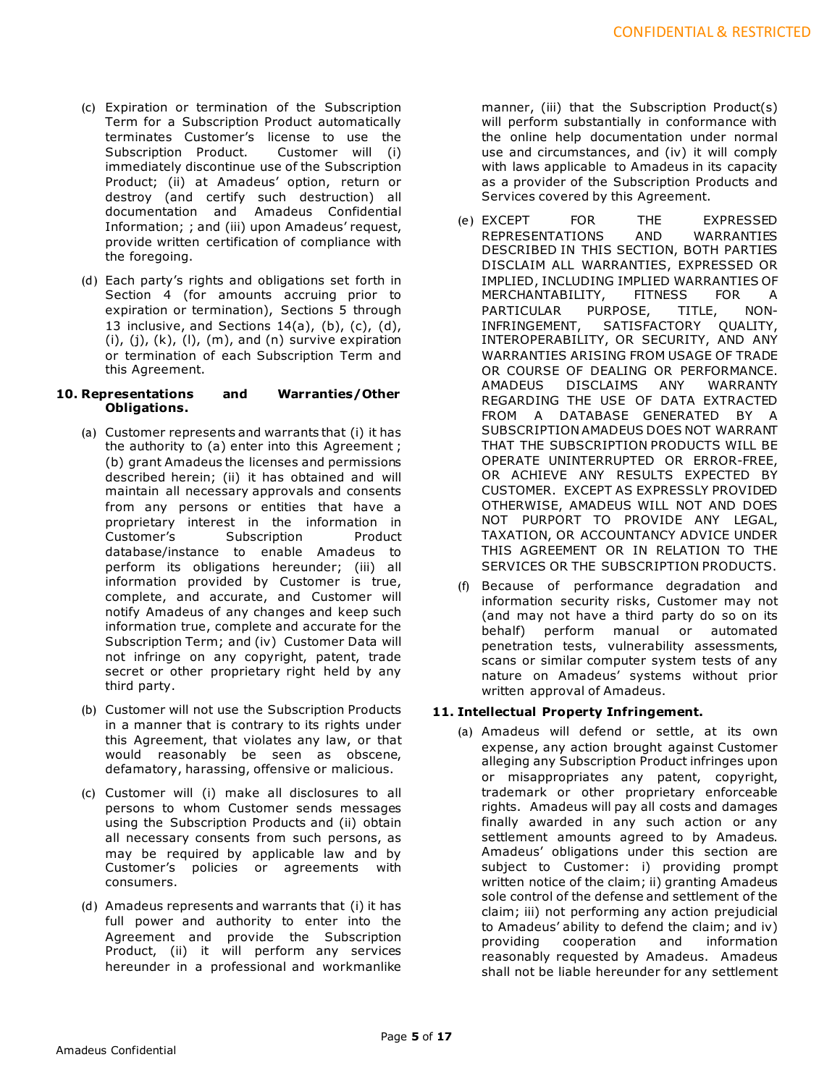- (c) Expiration or termination of the Subscription Term for a Subscription Product automatically terminates Customer's license to use the Subscription Product. Customer will (i) immediately discontinue use of the Subscription Product; (ii) at Amadeus' option, return or destroy (and certify such destruction) all documentation and Amadeus Confidential Information; ; and (iii) upon Amadeus' request, provide written certification of compliance with the foregoing.
- (d) Each party's rights and obligations set forth in Section 4 (for amounts accruing prior to expiration or termination), Sections 5 through 13 inclusive, and Sections  $14(a)$ ,  $(b)$ ,  $(c)$ ,  $(d)$ ,  $(i)$ ,  $(j)$ ,  $(k)$ ,  $(l)$ ,  $(m)$ , and  $(n)$  survive expiration or termination of each Subscription Term and this Agreement.

## **10. Representations and Warranties/Other Obligations.**

- (a) Customer represents and warrants that (i) it has the authority to (a) enter into this Agreement ; (b) grant Amadeus the licenses and permissions described herein; (ii) it has obtained and will maintain all necessary approvals and consents from any persons or entities that have a proprietary interest in the information in Customer's Subscription Product database/instance to enable Amadeus to perform its obligations hereunder; (iii) all information provided by Customer is true, complete, and accurate, and Customer will notify Amadeus of any changes and keep such information true, complete and accurate for the Subscription Term; and (iv) Customer Data will not infringe on any copyright, patent, trade secret or other proprietary right held by any third party.
- (b) Customer will not use the Subscription Products in a manner that is contrary to its rights under this Agreement, that violates any law, or that would reasonably be seen as obscene, defamatory, harassing, offensive or malicious.
- (c) Customer will (i) make all disclosures to all persons to whom Customer sends messages using the Subscription Products and (ii) obtain all necessary consents from such persons, as may be required by applicable law and by Customer's policies or agreements with consumers.
- (d) Amadeus represents and warrants that (i) it has full power and authority to enter into the Agreement and provide the Subscription Product, (ii) it will perform any services hereunder in a professional and workmanlike

manner, (iii) that the Subscription Product(s) will perform substantially in conformance with the online help documentation under normal use and circumstances, and (iv) it will comply with laws applicable to Amadeus in its capacity as a provider of the Subscription Products and Services covered by this Agreement.

- (e) EXCEPT FOR THE EXPRESSED REPRESENTATIONS AND WARRANTIES DESCRIBED IN THIS SECTION, BOTH PARTIES DISCLAIM ALL WARRANTIES, EXPRESSED OR IMPLIED, INCLUDING IMPLIED WARRANTIES OF MERCHANTABILITY, FITNESS FOR A PARTICULAR PURPOSE, TITLE, NON-INFRINGEMENT, SATISFACTORY QUALITY, INTEROPERABILITY, OR SECURITY, AND ANY WARRANTIES ARISING FROM USAGE OF TRADE OR COURSE OF DEALING OR PERFORMANCE.<br>AMADEUS DISCLAIMS ANY WARRANTY DISCLAIMS ANY WARRANTY REGARDING THE USE OF DATA EXTRACTED FROM A DATABASE GENERATED BY A SUBSCRIPTION AMADEUS DOES NOT WARRANT THAT THE SUBSCRIPTION PRODUCTS WILL BE OPERATE UNINTERRUPTED OR ERROR-FREE, OR ACHIEVE ANY RESULTS EXPECTED BY CUSTOMER. EXCEPT AS EXPRESSLY PROVIDED OTHERWISE, AMADEUS WILL NOT AND DOES NOT PURPORT TO PROVIDE ANY LEGAL, TAXATION, OR ACCOUNTANCY ADVICE UNDER THIS AGREEMENT OR IN RELATION TO THE SERVICES OR THE SUBSCRIPTION PRODUCTS.
- (f) Because of performance degradation and information security risks, Customer may not (and may not have a third party do so on its behalf) perform manual or automated penetration tests, vulnerability assessments, scans or similar computer system tests of any nature on Amadeus' systems without prior written approval of Amadeus.

# **11. Intellectual Property Infringement.**

(a) Amadeus will defend or settle, at its own expense, any action brought against Customer alleging any Subscription Product infringes upon or misappropriates any patent, copyright, trademark or other proprietary enforceable rights. Amadeus will pay all costs and damages finally awarded in any such action or any settlement amounts agreed to by Amadeus. Amadeus' obligations under this section are subject to Customer: i) providing prompt written notice of the claim; ii) granting Amadeus sole control of the defense and settlement of the claim; iii) not performing any action prejudicial to Amadeus' ability to defend the claim; and iv) providing cooperation and information reasonably requested by Amadeus. Amadeus shall not be liable hereunder for any settlement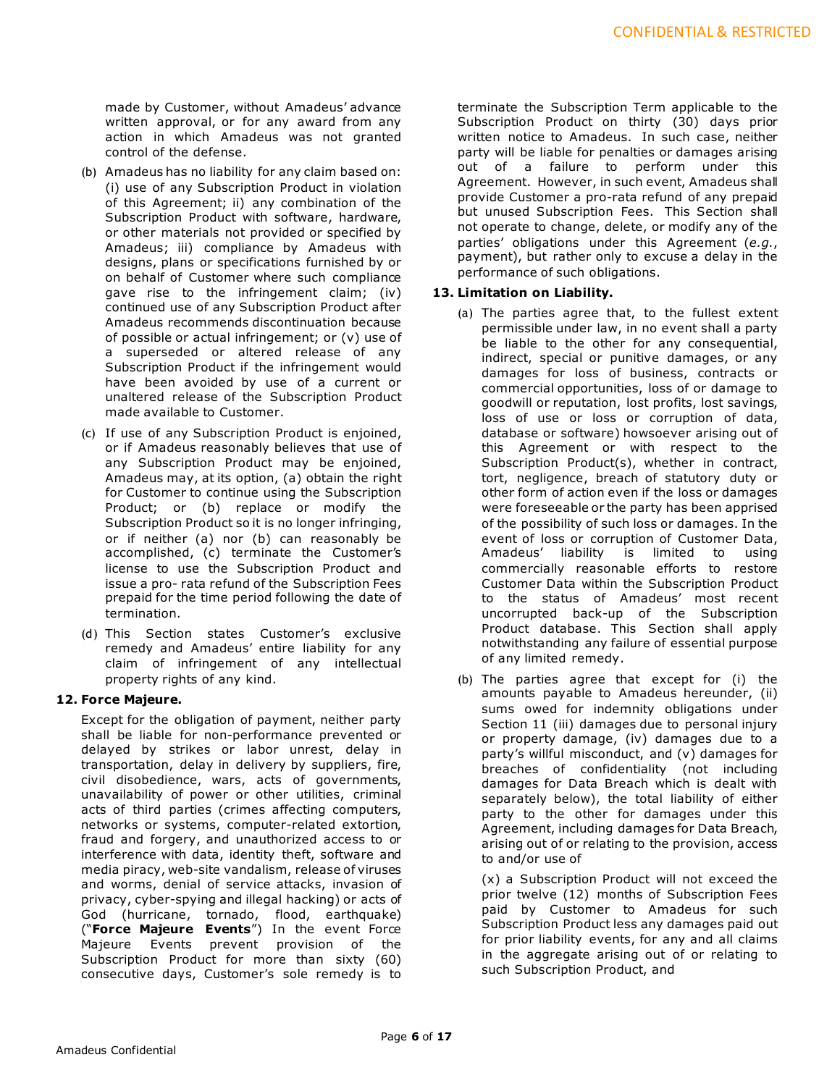made by Customer, without Amadeus' advance written approval, or for any award from any action in which Amadeus was not granted control of the defense.

- (b) Amadeus has no liability for any claim based on: (i) use of any Subscription Product in violation of this Agreement; ii) any combination of the Subscription Product with software, hardware, or other materials not provided or specified by Amadeus; iii) compliance by Amadeus with designs, plans or specifications furnished by or on behalf of Customer where such compliance gave rise to the infringement claim; (iv) continued use of any Subscription Product after Amadeus recommends discontinuation because of possible or actual infringement; or (v) use of a superseded or altered release of any Subscription Product if the infringement would have been avoided by use of a current or unaltered release of the Subscription Product made available to Customer.
- (c) If use of any Subscription Product is enjoined, or if Amadeus reasonably believes that use of any Subscription Product may be enjoined, Amadeus may, at its option, (a) obtain the right for Customer to continue using the Subscription Product; or (b) replace or modify the Subscription Product so it is no longer infringing, or if neither (a) nor (b) can reasonably be accomplished, (c) terminate the Customer's license to use the Subscription Product and issue a pro- rata refund of the Subscription Fees prepaid for the time period following the date of termination.
- (d) This Section states Customer's exclusive remedy and Amadeus' entire liability for any claim of infringement of any intellectual property rights of any kind.

# **12. Force Majeure.**

Except for the obligation of payment, neither party shall be liable for non-performance prevented or delayed by strikes or labor unrest, delay in transportation, delay in delivery by suppliers, fire, civil disobedience, wars, acts of governments, unavailability of power or other utilities, criminal acts of third parties (crimes affecting computers, networks or systems, computer-related extortion, fraud and forgery, and unauthorized access to or interference with data, identity theft, software and media piracy, web-site vandalism, release of viruses and worms, denial of service attacks, invasion of privacy, cyber-spying and illegal hacking) or acts of God (hurricane, tornado, flood, earthquake) ("**Force Majeure Events**") In the event Force Majeure Events prevent provision of the Subscription Product for more than sixty (60) consecutive days, Customer's sole remedy is to terminate the Subscription Term applicable to the Subscription Product on thirty (30) days prior written notice to Amadeus. In such case, neither party will be liable for penalties or damages arising out of a failure to perform under this Agreement. However, in such event, Amadeus shall provide Customer a pro-rata refund of any prepaid but unused Subscription Fees. This Section shall not operate to change, delete, or modify any of the parties' obligations under this Agreement (*e.g.*, payment), but rather only to excuse a delay in the performance of such obligations.

# **13. Limitation on Liability.**

- (a) The parties agree that, to the fullest extent permissible under law, in no event shall a party be liable to the other for any consequential, indirect, special or punitive damages, or any damages for loss of business, contracts or commercial opportunities, loss of or damage to goodwill or reputation, lost profits, lost savings, loss of use or loss or corruption of data, database or software) howsoever arising out of this Agreement or with respect to the Subscription Product(s), whether in contract, tort, negligence, breach of statutory duty or other form of action even if the loss or damages were foreseeable or the party has been apprised of the possibility of such loss or damages. In the event of loss or corruption of Customer Data, Amadeus' liability is limited to using commercially reasonable efforts to restore Customer Data within the Subscription Product to the status of Amadeus' most recent uncorrupted back-up of the Subscription Product database. This Section shall apply notwithstanding any failure of essential purpose of any limited remedy.
- (b) The parties agree that except for (i) the amounts payable to Amadeus hereunder, (ii) sums owed for indemnity obligations under Section 11 (iii) damages due to personal injury or property damage, (iv) damages due to a party's willful misconduct, and (v) damages for breaches of confidentiality (not including damages for Data Breach which is dealt with separately below), the total liability of either party to the other for damages under this Agreement, including damages for Data Breach, arising out of or relating to the provision, access to and/or use of

(x) a Subscription Product will not exceed the prior twelve (12) months of Subscription Fees paid by Customer to Amadeus for such Subscription Product less any damages paid out for prior liability events, for any and all claims in the aggregate arising out of or relating to such Subscription Product, and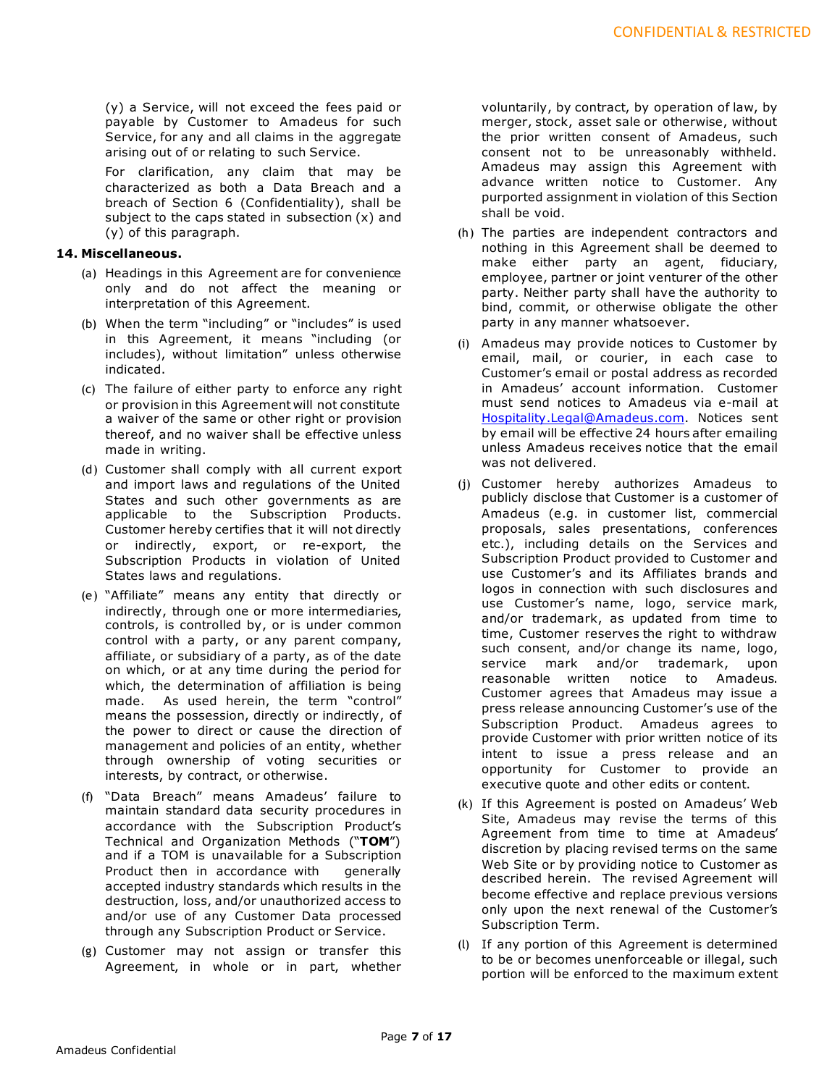(y) a Service, will not exceed the fees paid or payable by Customer to Amadeus for such Service, for any and all claims in the aggregate arising out of or relating to such Service.

For clarification, any claim that may be characterized as both a Data Breach and a breach of Section 6 (Confidentiality), shall be subject to the caps stated in subsection (x) and (y) of this paragraph.

# **14. Miscellaneous.**

- (a) Headings in this Agreement are for convenience only and do not affect the meaning or interpretation of this Agreement.
- (b) When the term "including" or "includes" is used in this Agreement, it means "including (or includes), without limitation" unless otherwise indicated.
- (c) The failure of either party to enforce any right or provision in this Agreement will not constitute a waiver of the same or other right or provision thereof, and no waiver shall be effective unless made in writing.
- (d) Customer shall comply with all current export and import laws and regulations of the United States and such other governments as are applicable to the Subscription Products. Customer hereby certifies that it will not directly or indirectly, export, or re-export, the Subscription Products in violation of United States laws and regulations.
- (e) "Affiliate" means any entity that directly or indirectly, through one or more intermediaries, controls, is controlled by, or is under common control with a party, or any parent company, affiliate, or subsidiary of a party, as of the date on which, or at any time during the period for which, the determination of affiliation is being made. As used herein, the term "control" means the possession, directly or indirectly, of the power to direct or cause the direction of management and policies of an entity, whether through ownership of voting securities or interests, by contract, or otherwise.
- (f) "Data Breach" means Amadeus' failure to maintain standard data security procedures in accordance with the Subscription Product's Technical and Organization Methods ("**TOM**") and if a TOM is unavailable for a Subscription Product then in accordance with generally accepted industry standards which results in the destruction, loss, and/or unauthorized access to and/or use of any Customer Data processed through any Subscription Product or Service.
- (g) Customer may not assign or transfer this Agreement, in whole or in part, whether

voluntarily, by contract, by operation of law, by merger, stock, asset sale or otherwise, without the prior written consent of Amadeus, such consent not to be unreasonably withheld. Amadeus may assign this Agreement with advance written notice to Customer. Any purported assignment in violation of this Section shall be void.

- (h) The parties are independent contractors and nothing in this Agreement shall be deemed to make either party an agent, fiduciary, employee, partner or joint venturer of the other party. Neither party shall have the authority to bind, commit, or otherwise obligate the other party in any manner whatsoever.
- (i) Amadeus may provide notices to Customer by email, mail, or courier, in each case to Customer's email or postal address as recorded in Amadeus' account information. Customer must send notices to Amadeus via e-mail at [Hospitality.Legal@Amadeus.com.](mailto:Hospitality.Legal@Amadeus.com) Notices sent by email will be effective 24 hours after emailing unless Amadeus receives notice that the email was not delivered.
- (j) Customer hereby authorizes Amadeus to publicly disclose that Customer is a customer of Amadeus (e.g. in customer list, commercial proposals, sales presentations, conferences etc.), including details on the Services and Subscription Product provided to Customer and use Customer's and its Affiliates brands and logos in connection with such disclosures and use Customer's name, logo, service mark, and/or trademark, as updated from time to time, Customer reserves the right to withdraw such consent, and/or change its name, logo, service mark and/or trademark, upon reasonable written notice to Amadeus. Customer agrees that Amadeus may issue a press release announcing Customer's use of the Subscription Product. Amadeus agrees to provide Customer with prior written notice of its intent to issue a press release and an opportunity for Customer to provide an executive quote and other edits or content.
- (k) If this Agreement is posted on Amadeus' Web Site, Amadeus may revise the terms of this Agreement from time to time at Amadeus' discretion by placing revised terms on the same Web Site or by providing notice to Customer as described herein. The revised Agreement will become effective and replace previous versions only upon the next renewal of the Customer's Subscription Term.
- (l) If any portion of this Agreement is determined to be or becomes unenforceable or illegal, such portion will be enforced to the maximum extent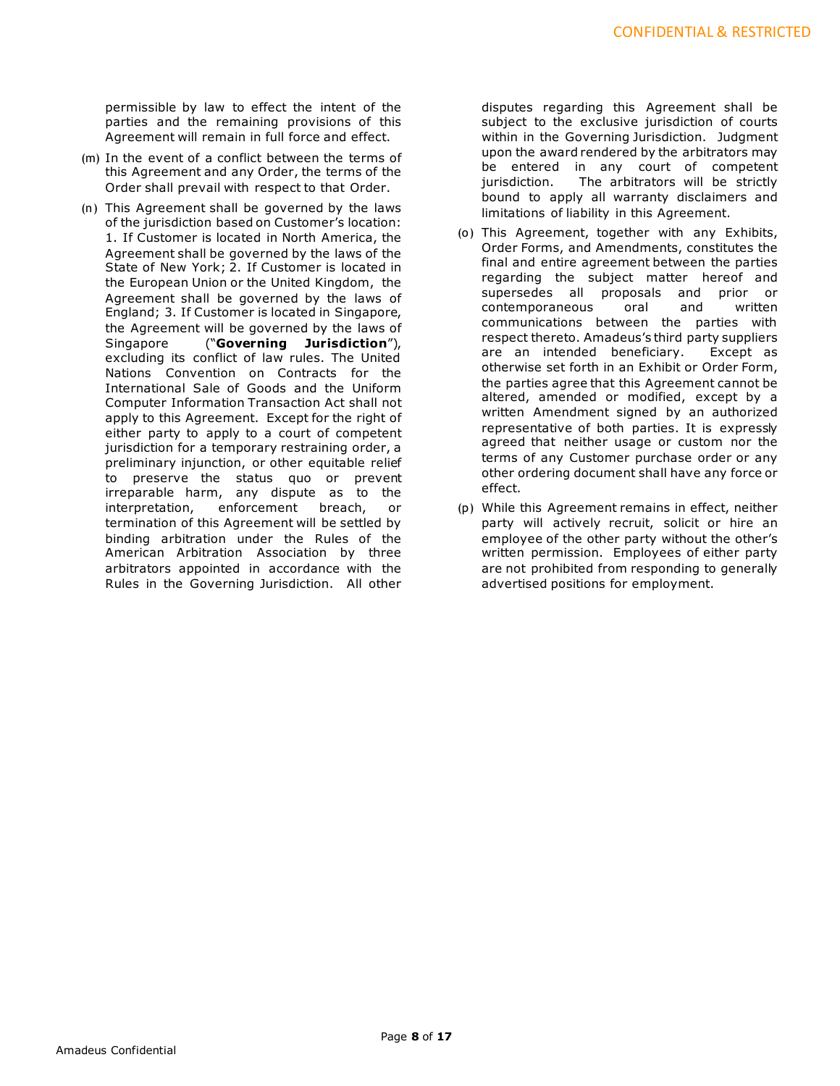permissible by law to effect the intent of the parties and the remaining provisions of this Agreement will remain in full force and effect.

- (m) In the event of a conflict between the terms of this Agreement and any Order, the terms of the Order shall prevail with respect to that Order.
- (n) This Agreement shall be governed by the laws of the jurisdiction based on Customer's location: 1. If Customer is located in North America, the Agreement shall be governed by the laws of the State of New York; 2. If Customer is located in the European Union or the United Kingdom, the Agreement shall be governed by the laws of England; 3. If Customer is located in Singapore, the Agreement will be governed by the laws of Singapore ("**Governing Jurisdiction**"), excluding its conflict of law rules. The United Nations Convention on Contracts for the International Sale of Goods and the Uniform Computer Information Transaction Act shall not apply to this Agreement. Except for the right of either party to apply to a court of competent jurisdiction for a temporary restraining order, a preliminary injunction, or other equitable relief to preserve the status quo or prevent irreparable harm, any dispute as to the interpretation, enforcement breach, or termination of this Agreement will be settled by binding arbitration under the Rules of the American Arbitration Association by three arbitrators appointed in accordance with the Rules in the Governing Jurisdiction. All other

disputes regarding this Agreement shall be subject to the exclusive jurisdiction of courts within in the Governing Jurisdiction. Judgment upon the award rendered by the arbitrators may be entered in any court of competent jurisdiction. The arbitrators will be strictly bound to apply all warranty disclaimers and limitations of liability in this Agreement.

- (o) This Agreement, together with any Exhibits, Order Forms, and Amendments, constitutes the final and entire agreement between the parties regarding the subject matter hereof and supersedes all proposals and prior or contemporaneous oral and written communications between the parties with respect thereto. Amadeus's third party suppliers are an intended beneficiary. Except as otherwise set forth in an Exhibit or Order Form, the parties agree that this Agreement cannot be altered, amended or modified, except by a written Amendment signed by an authorized representative of both parties. It is expressly agreed that neither usage or custom nor the terms of any Customer purchase order or any other ordering document shall have any force or effect.
- (p) While this Agreement remains in effect, neither party will actively recruit, solicit or hire an employee of the other party without the other's written permission. Employees of either party are not prohibited from responding to generally advertised positions for employment.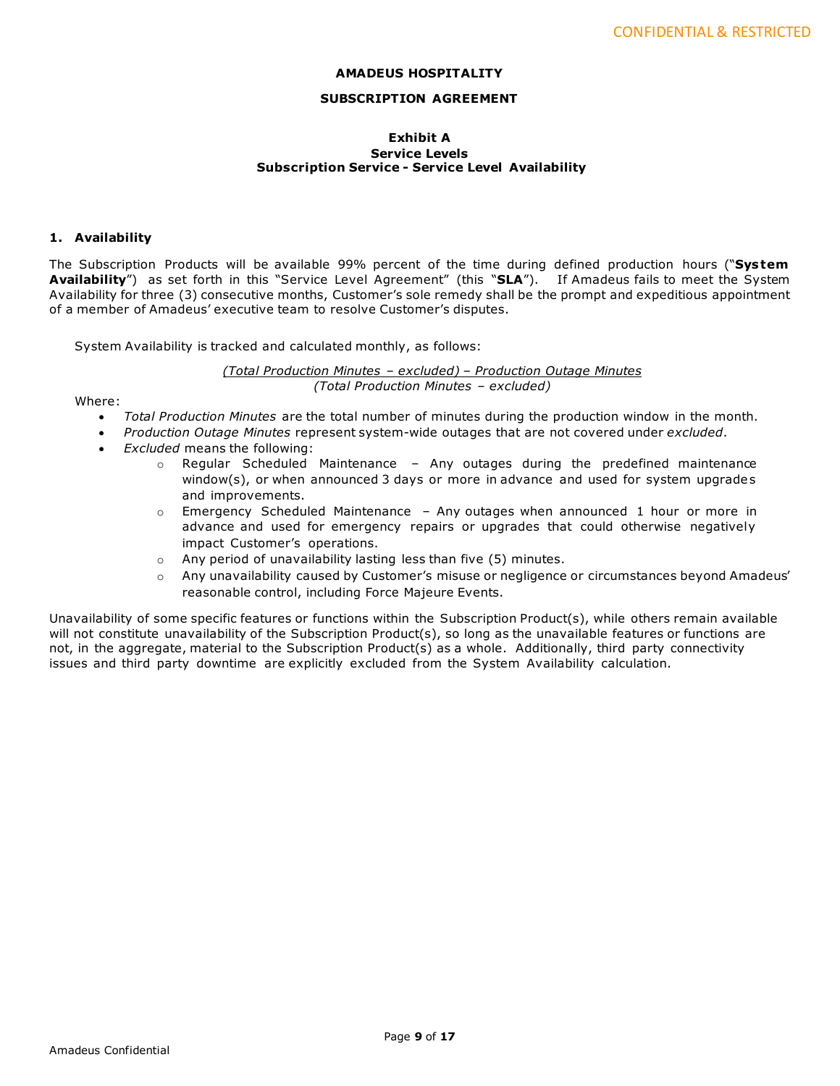## **AMADEUS HOSPITALITY**

## **SUBSCRIPTION AGREEMENT**

### **Exhibit A Service Levels Subscription Service - Service Level Availability**

#### **1. Availability**

The Subscription Products will be available 99% percent of the time during defined production hours ("**Sys tem Availability**") as set forth in this "Service Level Agreement" (this "**SLA**"). If Amadeus fails to meet the System Availability for three (3) consecutive months, Customer's sole remedy shall be the prompt and expeditious appointment of a member of Amadeus' executive team to resolve Customer's disputes.

System Availability is tracked and calculated monthly, as follows:

*(Total Production Minutes – excluded) – Production Outage Minutes (Total Production Minutes – excluded)*

Where:

- *Total Production Minutes* are the total number of minutes during the production window in the month.
- *Production Outage Minutes* represent system-wide outages that are not covered under *excluded*.
- *Excluded* means the following:
	- $\circ$  Regular Scheduled Maintenance Any outages during the predefined maintenance window(s), or when announced 3 days or more in advance and used for system upgrades and improvements.
	- $\circ$  Emergency Scheduled Maintenance Any outages when announced 1 hour or more in advance and used for emergency repairs or upgrades that could otherwise negatively impact Customer's operations.
	- o Any period of unavailability lasting less than five (5) minutes.
	- o Any unavailability caused by Customer's misuse or negligence or circumstances beyond Amadeus' reasonable control, including Force Majeure Events.

Unavailability of some specific features or functions within the Subscription Product(s), while others remain available will not constitute unavailability of the Subscription Product(s), so long as the unavailable features or functions are not, in the aggregate, material to the Subscription Product(s) as a whole. Additionally, third party connectivity issues and third party downtime are explicitly excluded from the System Availability calculation.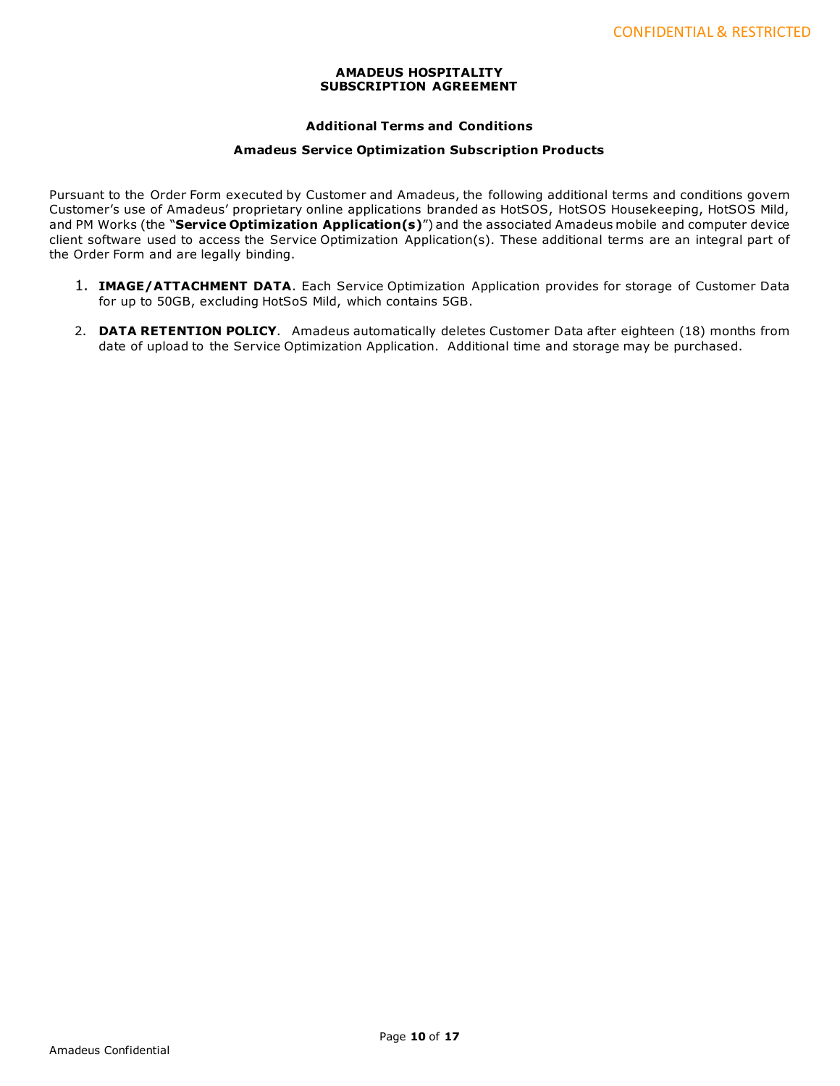## **AMADEUS HOSPITALITY SUBSCRIPTION AGREEMENT**

## **Additional Terms and Conditions**

## **Amadeus Service Optimization Subscription Products**

Pursuant to the Order Form executed by Customer and Amadeus, the following additional terms and conditions govern Customer's use of Amadeus' proprietary online applications branded as HotSOS, HotSOS Housekeeping, HotSOS Mild, and PM Works (the "**Service Optimization Application(s)**") and the associated Amadeus mobile and computer device client software used to access the Service Optimization Application(s). These additional terms are an integral part of the Order Form and are legally binding.

- 1. **IMAGE/ATTACHMENT DATA**. Each Service Optimization Application provides for storage of Customer Data for up to 50GB, excluding HotSoS Mild, which contains 5GB.
- 2. **DATA RETENTION POLICY**. Amadeus automatically deletes Customer Data after eighteen (18) months from date of upload to the Service Optimization Application. Additional time and storage may be purchased.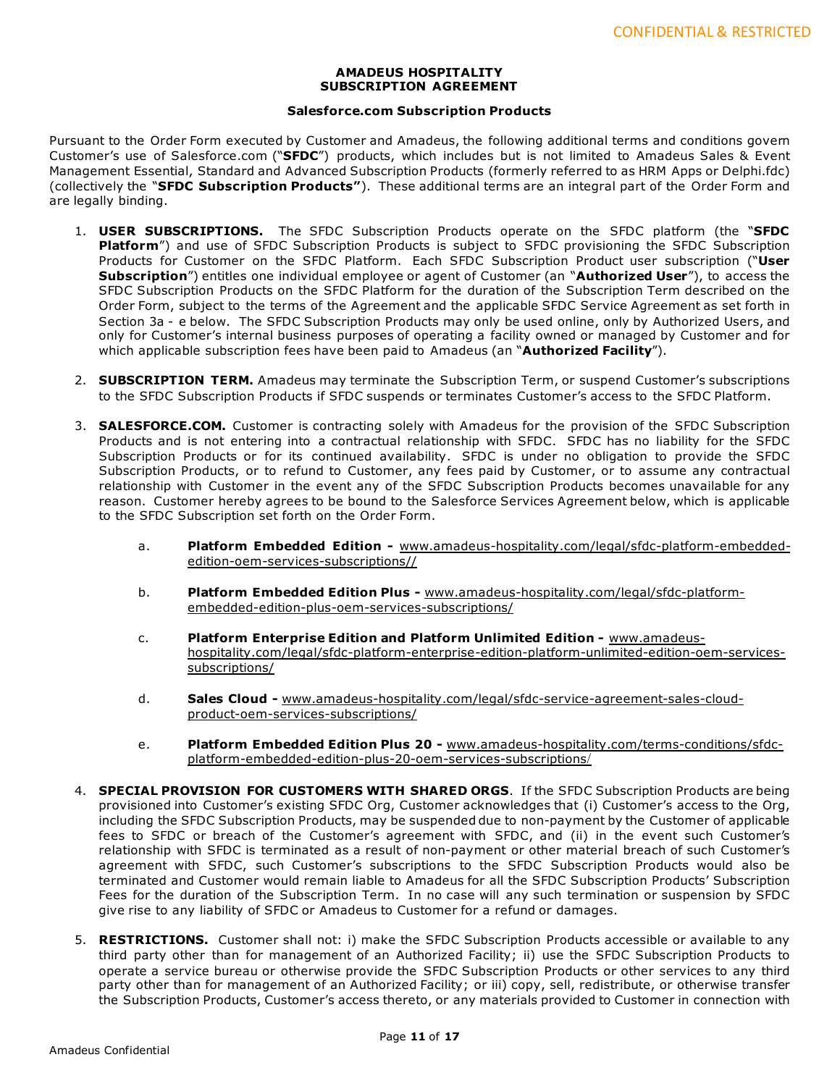#### **AMADEUS HOSPITALITY SUBSCRIPTION AGREEMENT**

## **Salesforce.com Subscription Products**

Pursuant to the Order Form executed by Customer and Amadeus, the following additional terms and conditions govern Customer's use of Salesforce.com ("**SFDC**") products, which includes but is not limited to Amadeus Sales & Event Management Essential, Standard and Advanced Subscription Products (formerly referred to as HRM Apps or Delphi.fdc) (collectively the "**SFDC Subscription Products"**). These additional terms are an integral part of the Order Form and are legally binding.

- 1. **USER SUBSCRIPTIONS.** The SFDC Subscription Products operate on the SFDC platform (the "**SFDC Platform**") and use of SFDC Subscription Products is subject to SFDC provisioning the SFDC Subscription Products for Customer on the SFDC Platform. Each SFDC Subscription Product user subscription ("**User Subscription**") entitles one individual employee or agent of Customer (an "**Authorized User**"), to access the SFDC Subscription Products on the SFDC Platform for the duration of the Subscription Term described on the Order Form, subject to the terms of the Agreement and the applicable SFDC Service Agreement as set forth in Section 3a - e below. The SFDC Subscription Products may only be used online, only by Authorized Users, and only for Customer's internal business purposes of operating a facility owned or managed by Customer and for which applicable subscription fees have been paid to Amadeus (an "**Authorized Facility**").
- 2. **SUBSCRIPTION TERM.** Amadeus may terminate the Subscription Term, or suspend Customer's subscriptions to the SFDC Subscription Products if SFDC suspends or terminates Customer's access to the SFDC Platform.
- 3. **SALESFORCE.COM.** Customer is contracting solely with Amadeus for the provision of the SFDC Subscription Products and is not entering into a contractual relationship with SFDC. SFDC has no liability for the SFDC Subscription Products or for its continued availability. SFDC is under no obligation to provide the SFDC Subscription Products, or to refund to Customer, any fees paid by Customer, or to assume any contractual relationship with Customer in the event any of the SFDC Subscription Products becomes unavailable for any reason. Customer hereby agrees to be bound to the Salesforce Services Agreement below, which is applicable to the SFDC Subscription set forth on the Order Form.
	- a. **Platform Embedded Edition -** [www.amadeus-hospitality.com/legal/sfdc-platform-embedded](http://www.amadeus-hospitality.com/legal/sfdc-platform-embedded-edition-oem-services-subscriptions/)[edition-oem-services-subscriptions//](http://www.amadeus-hospitality.com/legal/sfdc-platform-embedded-edition-oem-services-subscriptions/)
	- b. **Platform Embedded Edition Plus -** [www.amadeus-hospitality.com/legal/sfdc-platform](http://www.amadeus-hospitality.com/legal/sfdc-platform-embedded-edition-plus-oem-services-subscriptions/)[embedded-edition-plus-oem-services-subscriptions/](http://www.amadeus-hospitality.com/legal/sfdc-platform-embedded-edition-plus-oem-services-subscriptions/)
	- c. **Platform Enterprise Edition and Platform Unlimited Edition -** [www.amadeus](http://www.amadeus-hospitality.com/legal/sfdc-platform-enterprise-edition-platform-unlimited-edition-oem-services-subscriptions/)[hospitality.com/legal/sfdc-platform-enterprise-edition-platform-unlimited-edition-oem-services](http://www.amadeus-hospitality.com/legal/sfdc-platform-enterprise-edition-platform-unlimited-edition-oem-services-subscriptions/)[subscriptions/](http://www.amadeus-hospitality.com/legal/sfdc-platform-enterprise-edition-platform-unlimited-edition-oem-services-subscriptions/)
	- d. **Sales Cloud -** [www.amadeus-hospitality.com/legal/sfdc-service-agreement-sales-cloud](http://www.amadeus-hospitality.com/legal/sfdc-service-agreement-sales-cloud-product-oem-services-subscriptions/)[product-oem-services-subscriptions/](http://www.amadeus-hospitality.com/legal/sfdc-service-agreement-sales-cloud-product-oem-services-subscriptions/)
	- e. **Platform Embedded Edition Plus 20 -** [www.amadeus-hospitality.com/terms-conditions/sfdc](http://www.amadeus-hospitality.com/terms-conditions/sfdc-platform-embedded-edition-plus-20-oem-services-subscriptions/)[platform-embedded-edition-plus-20-oem-services-subscriptions](http://www.amadeus-hospitality.com/terms-conditions/sfdc-platform-embedded-edition-plus-20-oem-services-subscriptions/)/
- 4. **SPECIAL PROVISION FOR CUSTOMERS WITH SHARED ORGS**. If the SFDC Subscription Products are being provisioned into Customer's existing SFDC Org, Customer acknowledges that (i) Customer's access to the Org, including the SFDC Subscription Products, may be suspended due to non-payment by the Customer of applicable fees to SFDC or breach of the Customer's agreement with SFDC, and (ii) in the event such Customer's relationship with SFDC is terminated as a result of non-payment or other material breach of such Customer's agreement with SFDC, such Customer's subscriptions to the SFDC Subscription Products would also be terminated and Customer would remain liable to Amadeus for all the SFDC Subscription Products' Subscription Fees for the duration of the Subscription Term. In no case will any such termination or suspension by SFDC give rise to any liability of SFDC or Amadeus to Customer for a refund or damages.
- 5. **RESTRICTIONS.** Customer shall not: i) make the SFDC Subscription Products accessible or available to any third party other than for management of an Authorized Facility; ii) use the SFDC Subscription Products to operate a service bureau or otherwise provide the SFDC Subscription Products or other services to any third party other than for management of an Authorized Facility; or iii) copy, sell, redistribute, or otherwise transfer the Subscription Products, Customer's access thereto, or any materials provided to Customer in connection with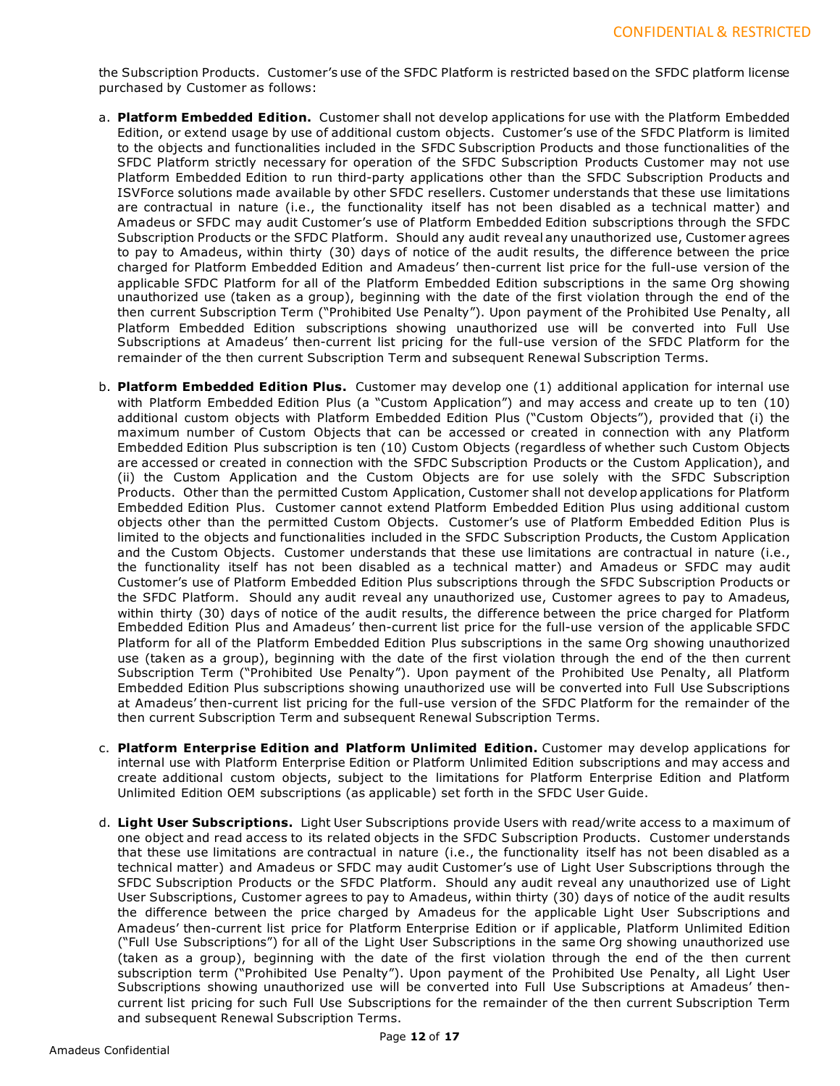the Subscription Products. Customer's use of the SFDC Platform is restricted based on the SFDC platform license purchased by Customer as follows:

- a. **Platform Embedded Edition.** Customer shall not develop applications for use with the Platform Embedded Edition, or extend usage by use of additional custom objects. Customer's use of the SFDC Platform is limited to the objects and functionalities included in the SFDC Subscription Products and those functionalities of the SFDC Platform strictly necessary for operation of the SFDC Subscription Products Customer may not use Platform Embedded Edition to run third-party applications other than the SFDC Subscription Products and ISVForce solutions made available by other SFDC resellers. Customer understands that these use limitations are contractual in nature (i.e., the functionality itself has not been disabled as a technical matter) and Amadeus or SFDC may audit Customer's use of Platform Embedded Edition subscriptions through the SFDC Subscription Products or the SFDC Platform. Should any audit reveal any unauthorized use, Customer agrees to pay to Amadeus, within thirty (30) days of notice of the audit results, the difference between the price charged for Platform Embedded Edition and Amadeus' then-current list price for the full-use version of the applicable SFDC Platform for all of the Platform Embedded Edition subscriptions in the same Org showing unauthorized use (taken as a group), beginning with the date of the first violation through the end of the then current Subscription Term ("Prohibited Use Penalty"). Upon payment of the Prohibited Use Penalty, all Platform Embedded Edition subscriptions showing unauthorized use will be converted into Full Use Subscriptions at Amadeus' then-current list pricing for the full-use version of the SFDC Platform for the remainder of the then current Subscription Term and subsequent Renewal Subscription Terms.
- b. **Platform Embedded Edition Plus.** Customer may develop one (1) additional application for internal use with Platform Embedded Edition Plus (a "Custom Application") and may access and create up to ten (10) additional custom objects with Platform Embedded Edition Plus ("Custom Objects"), provided that (i) the maximum number of Custom Objects that can be accessed or created in connection with any Platform Embedded Edition Plus subscription is ten (10) Custom Objects (regardless of whether such Custom Objects are accessed or created in connection with the SFDC Subscription Products or the Custom Application), and (ii) the Custom Application and the Custom Objects are for use solely with the SFDC Subscription Products. Other than the permitted Custom Application, Customer shall not develop applications for Platform Embedded Edition Plus. Customer cannot extend Platform Embedded Edition Plus using additional custom objects other than the permitted Custom Objects. Customer's use of Platform Embedded Edition Plus is limited to the objects and functionalities included in the SFDC Subscription Products, the Custom Application and the Custom Objects. Customer understands that these use limitations are contractual in nature (i.e., the functionality itself has not been disabled as a technical matter) and Amadeus or SFDC may audit Customer's use of Platform Embedded Edition Plus subscriptions through the SFDC Subscription Products or the SFDC Platform. Should any audit reveal any unauthorized use, Customer agrees to pay to Amadeus, within thirty (30) days of notice of the audit results, the difference between the price charged for Platform Embedded Edition Plus and Amadeus' then-current list price for the full-use version of the applicable SFDC Platform for all of the Platform Embedded Edition Plus subscriptions in the same Org showing unauthorized use (taken as a group), beginning with the date of the first violation through the end of the then current Subscription Term ("Prohibited Use Penalty"). Upon payment of the Prohibited Use Penalty, all Platform Embedded Edition Plus subscriptions showing unauthorized use will be converted into Full Use Subscriptions at Amadeus' then-current list pricing for the full-use version of the SFDC Platform for the remainder of the then current Subscription Term and subsequent Renewal Subscription Terms.
- c. **Platform Enterprise Edition and Platform Unlimited Edition.** Customer may develop applications for internal use with Platform Enterprise Edition or Platform Unlimited Edition subscriptions and may access and create additional custom objects, subject to the limitations for Platform Enterprise Edition and Platform Unlimited Edition OEM subscriptions (as applicable) set forth in the SFDC User Guide.
- d. **Light User Subscriptions.** Light User Subscriptions provide Users with read/write access to a maximum of one object and read access to its related objects in the SFDC Subscription Products. Customer understands that these use limitations are contractual in nature (i.e., the functionality itself has not been disabled as a technical matter) and Amadeus or SFDC may audit Customer's use of Light User Subscriptions through the SFDC Subscription Products or the SFDC Platform. Should any audit reveal any unauthorized use of Light User Subscriptions, Customer agrees to pay to Amadeus, within thirty (30) days of notice of the audit results the difference between the price charged by Amadeus for the applicable Light User Subscriptions and Amadeus' then-current list price for Platform Enterprise Edition or if applicable, Platform Unlimited Edition ("Full Use Subscriptions") for all of the Light User Subscriptions in the same Org showing unauthorized use (taken as a group), beginning with the date of the first violation through the end of the then current subscription term ("Prohibited Use Penalty"). Upon payment of the Prohibited Use Penalty, all Light User Subscriptions showing unauthorized use will be converted into Full Use Subscriptions at Amadeus' thencurrent list pricing for such Full Use Subscriptions for the remainder of the then current Subscription Term and subsequent Renewal Subscription Terms.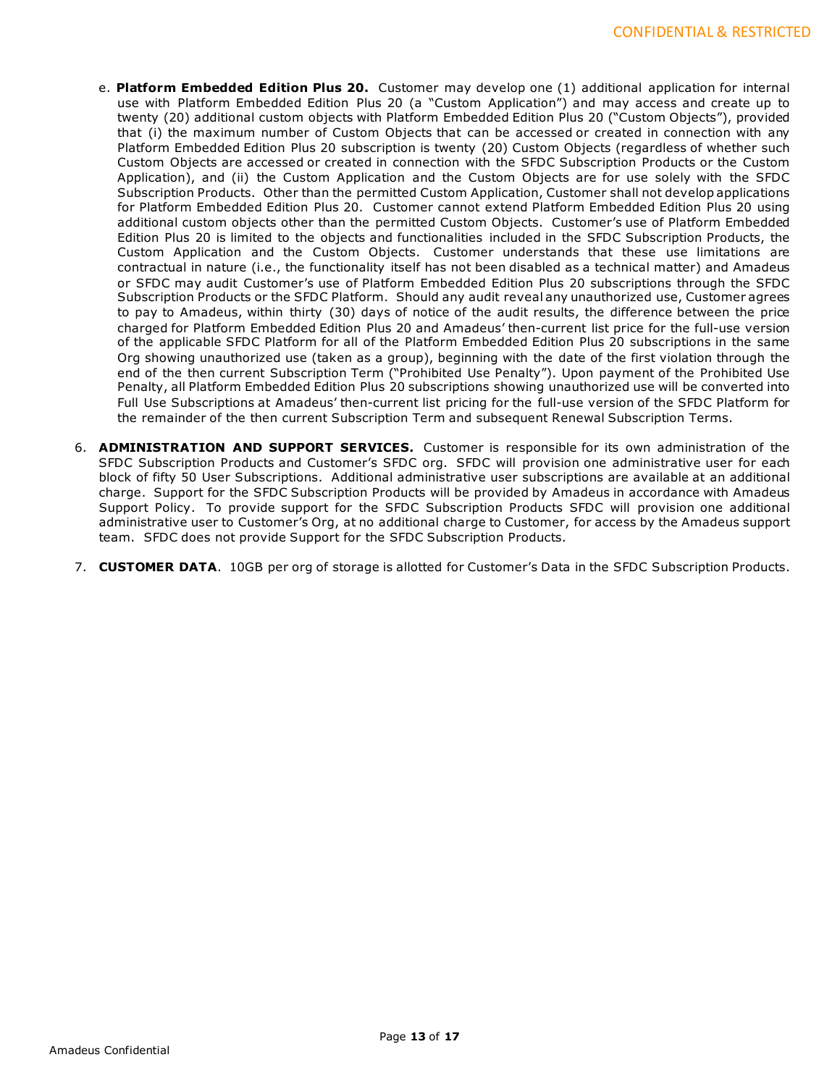- e. **Platform Embedded Edition Plus 20.** Customer may develop one (1) additional application for internal use with Platform Embedded Edition Plus 20 (a "Custom Application") and may access and create up to twenty (20) additional custom objects with Platform Embedded Edition Plus 20 ("Custom Objects"), provided that (i) the maximum number of Custom Objects that can be accessed or created in connection with any Platform Embedded Edition Plus 20 subscription is twenty (20) Custom Objects (regardless of whether such Custom Objects are accessed or created in connection with the SFDC Subscription Products or the Custom Application), and (ii) the Custom Application and the Custom Objects are for use solely with the SFDC Subscription Products. Other than the permitted Custom Application, Customer shall not develop applications for Platform Embedded Edition Plus 20. Customer cannot extend Platform Embedded Edition Plus 20 using additional custom objects other than the permitted Custom Objects. Customer's use of Platform Embedded Edition Plus 20 is limited to the objects and functionalities included in the SFDC Subscription Products, the Custom Application and the Custom Objects. Customer understands that these use limitations are contractual in nature (i.e., the functionality itself has not been disabled as a technical matter) and Amadeus or SFDC may audit Customer's use of Platform Embedded Edition Plus 20 subscriptions through the SFDC Subscription Products or the SFDC Platform. Should any audit reveal any unauthorized use, Customer agrees to pay to Amadeus, within thirty (30) days of notice of the audit results, the difference between the price charged for Platform Embedded Edition Plus 20 and Amadeus' then-current list price for the full-use version of the applicable SFDC Platform for all of the Platform Embedded Edition Plus 20 subscriptions in the same Org showing unauthorized use (taken as a group), beginning with the date of the first violation through the end of the then current Subscription Term ("Prohibited Use Penalty"). Upon payment of the Prohibited Use Penalty, all Platform Embedded Edition Plus 20 subscriptions showing unauthorized use will be converted into Full Use Subscriptions at Amadeus' then-current list pricing for the full-use version of the SFDC Platform for the remainder of the then current Subscription Term and subsequent Renewal Subscription Terms.
- 6. **ADMINISTRATION AND SUPPORT SERVICES.** Customer is responsible for its own administration of the SFDC Subscription Products and Customer's SFDC org. SFDC will provision one administrative user for each block of fifty 50 User Subscriptions. Additional administrative user subscriptions are available at an additional charge. Support for the SFDC Subscription Products will be provided by Amadeus in accordance with Amadeus Support Policy. To provide support for the SFDC Subscription Products SFDC will provision one additional administrative user to Customer's Org, at no additional charge to Customer, for access by the Amadeus support team. SFDC does not provide Support for the SFDC Subscription Products.
- 7. **CUSTOMER DATA**. 10GB per org of storage is allotted for Customer's Data in the SFDC Subscription Products.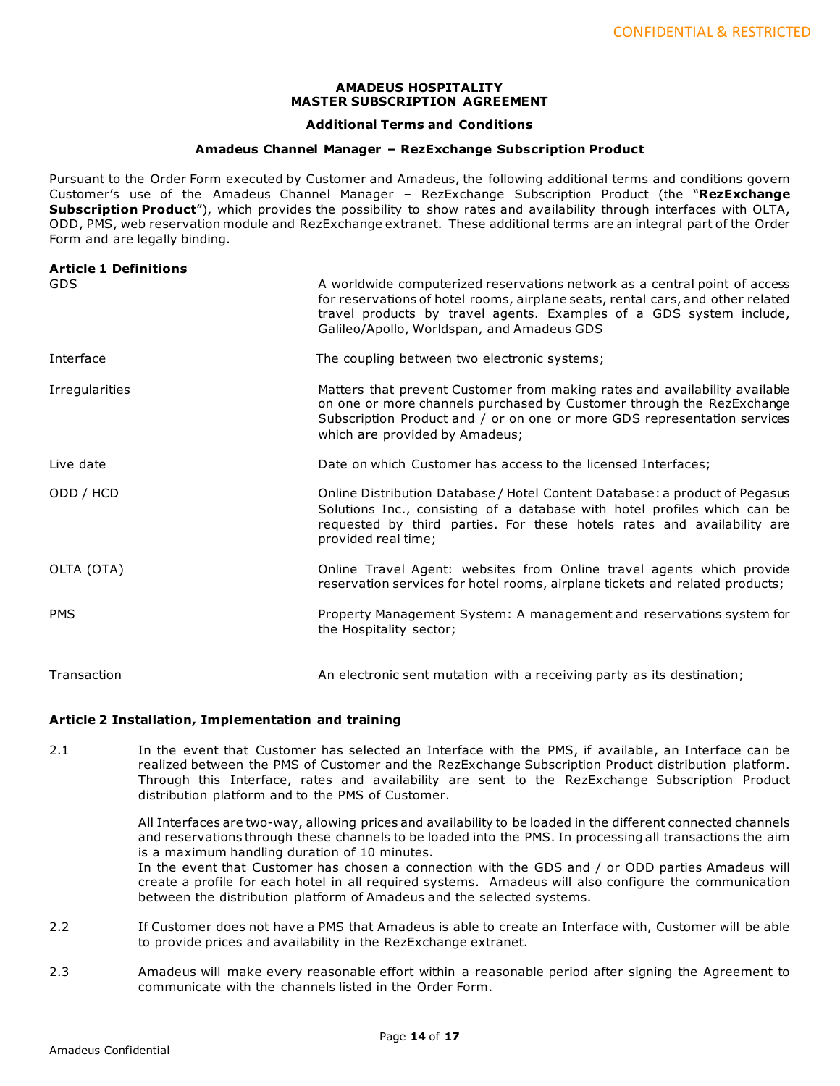#### **AMADEUS HOSPITALITY MASTER SUBSCRIPTION AGREEMENT**

### **Additional Terms and Conditions**

#### **Amadeus Channel Manager – RezExchange Subscription Product**

Pursuant to the Order Form executed by Customer and Amadeus, the following additional terms and conditions govern Customer's use of the Amadeus Channel Manager – RezExchange Subscription Product (the "**RezExchange Subscription Product**"), which provides the possibility to show rates and availability through interfaces with OLTA, ODD, PMS, web reservation module and RezExchange extranet. These additional terms are an integral part of the Order Form and are legally binding.

| <b>Article 1 Definitions</b><br><b>GDS</b> | A worldwide computerized reservations network as a central point of access<br>for reservations of hotel rooms, airplane seats, rental cars, and other related<br>travel products by travel agents. Examples of a GDS system include,<br>Galileo/Apollo, Worldspan, and Amadeus GDS |
|--------------------------------------------|------------------------------------------------------------------------------------------------------------------------------------------------------------------------------------------------------------------------------------------------------------------------------------|
| Interface                                  | The coupling between two electronic systems;                                                                                                                                                                                                                                       |
| Irregularities                             | Matters that prevent Customer from making rates and availability available<br>on one or more channels purchased by Customer through the RezExchange<br>Subscription Product and / or on one or more GDS representation services<br>which are provided by Amadeus;                  |
| Live date                                  | Date on which Customer has access to the licensed Interfaces;                                                                                                                                                                                                                      |
| ODD / HCD                                  | Online Distribution Database / Hotel Content Database: a product of Pegasus<br>Solutions Inc., consisting of a database with hotel profiles which can be<br>requested by third parties. For these hotels rates and availability are<br>provided real time;                         |
| OLTA (OTA)                                 | Online Travel Agent: websites from Online travel agents which provide<br>reservation services for hotel rooms, airplane tickets and related products;                                                                                                                              |
| <b>PMS</b>                                 | Property Management System: A management and reservations system for<br>the Hospitality sector;                                                                                                                                                                                    |
| Transaction                                | An electronic sent mutation with a receiving party as its destination;                                                                                                                                                                                                             |

## **Article 2 Installation, Implementation and training**

2.1 In the event that Customer has selected an Interface with the PMS, if available, an Interface can be realized between the PMS of Customer and the RezExchange Subscription Product distribution platform. Through this Interface, rates and availability are sent to the RezExchange Subscription Product distribution platform and to the PMS of Customer.

> All Interfaces are two-way, allowing prices and availability to be loaded in the different connected channels and reservations through these channels to be loaded into the PMS. In processing all transactions the aim is a maximum handling duration of 10 minutes. In the event that Customer has chosen a connection with the GDS and / or ODD parties Amadeus will create a profile for each hotel in all required systems. Amadeus will also configure the communication between the distribution platform of Amadeus and the selected systems.

- 2.2 If Customer does not have a PMS that Amadeus is able to create an Interface with, Customer will be able to provide prices and availability in the RezExchange extranet.
- 2.3 Amadeus will make every reasonable effort within a reasonable period after signing the Agreement to communicate with the channels listed in the Order Form.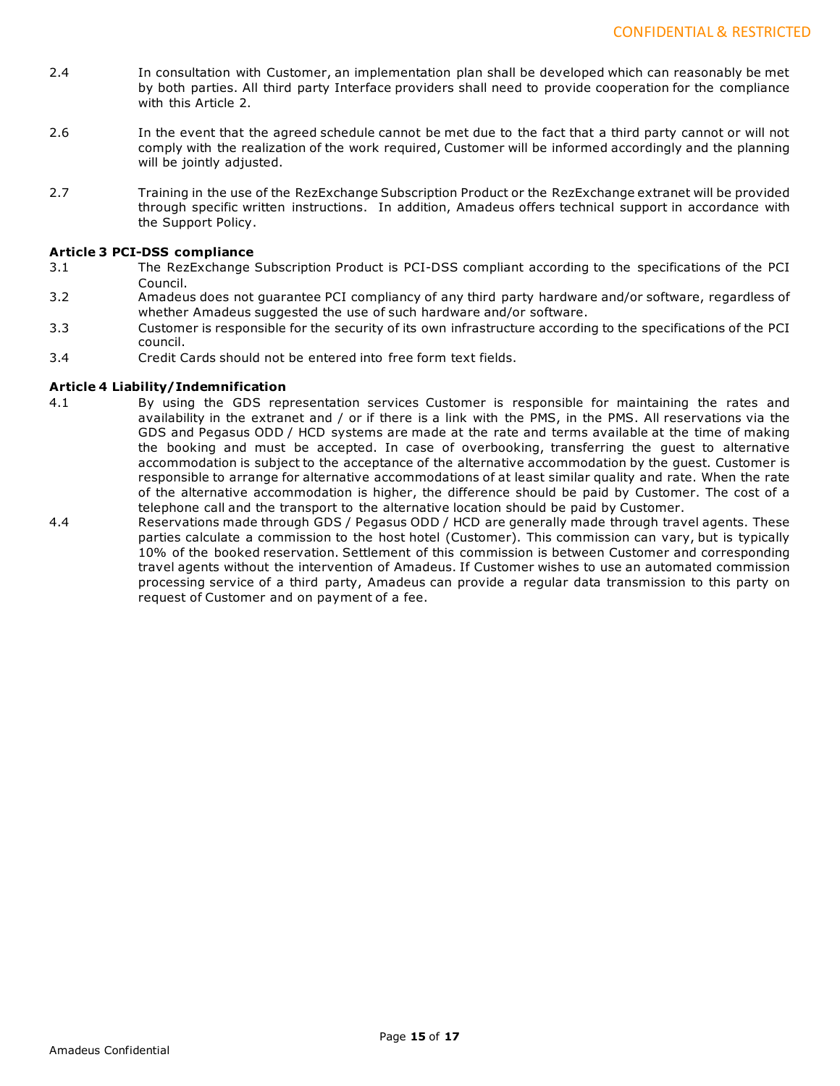- 2.4 In consultation with Customer, an implementation plan shall be developed which can reasonably be met by both parties. All third party Interface providers shall need to provide cooperation for the compliance with this Article 2.
- 2.6 In the event that the agreed schedule cannot be met due to the fact that a third party cannot or will not comply with the realization of the work required, Customer will be informed accordingly and the planning will be jointly adjusted.
- 2.7 Training in the use of the RezExchange Subscription Product or the RezExchange extranet will be provided through specific written instructions. In addition, Amadeus offers technical support in accordance with the Support Policy.

## **Article 3 PCI-DSS compliance**

- 3.1 The RezExchange Subscription Product is PCI-DSS compliant according to the specifications of the PCI Council.
- 3.2 Amadeus does not guarantee PCI compliancy of any third party hardware and/or software, regardless of whether Amadeus suggested the use of such hardware and/or software.
- 3.3 Customer is responsible for the security of its own infrastructure according to the specifications of the PCI council.
- 3.4 Credit Cards should not be entered into free form text fields.

# **Article 4 Liability/Indemnification**

- 4.1 By using the GDS representation services Customer is responsible for maintaining the rates and availability in the extranet and / or if there is a link with the PMS, in the PMS. All reservations via the GDS and Pegasus ODD / HCD systems are made at the rate and terms available at the time of making the booking and must be accepted. In case of overbooking, transferring the guest to alternative accommodation is subject to the acceptance of the alternative accommodation by the guest. Customer is responsible to arrange for alternative accommodations of at least similar quality and rate. When the rate of the alternative accommodation is higher, the difference should be paid by Customer. The cost of a telephone call and the transport to the alternative location should be paid by Customer.
- 4.4 Reservations made through GDS / Pegasus ODD / HCD are generally made through travel agents. These parties calculate a commission to the host hotel (Customer). This commission can vary, but is typically 10% of the booked reservation. Settlement of this commission is between Customer and corresponding travel agents without the intervention of Amadeus. If Customer wishes to use an automated commission processing service of a third party, Amadeus can provide a regular data transmission to this party on request of Customer and on payment of a fee.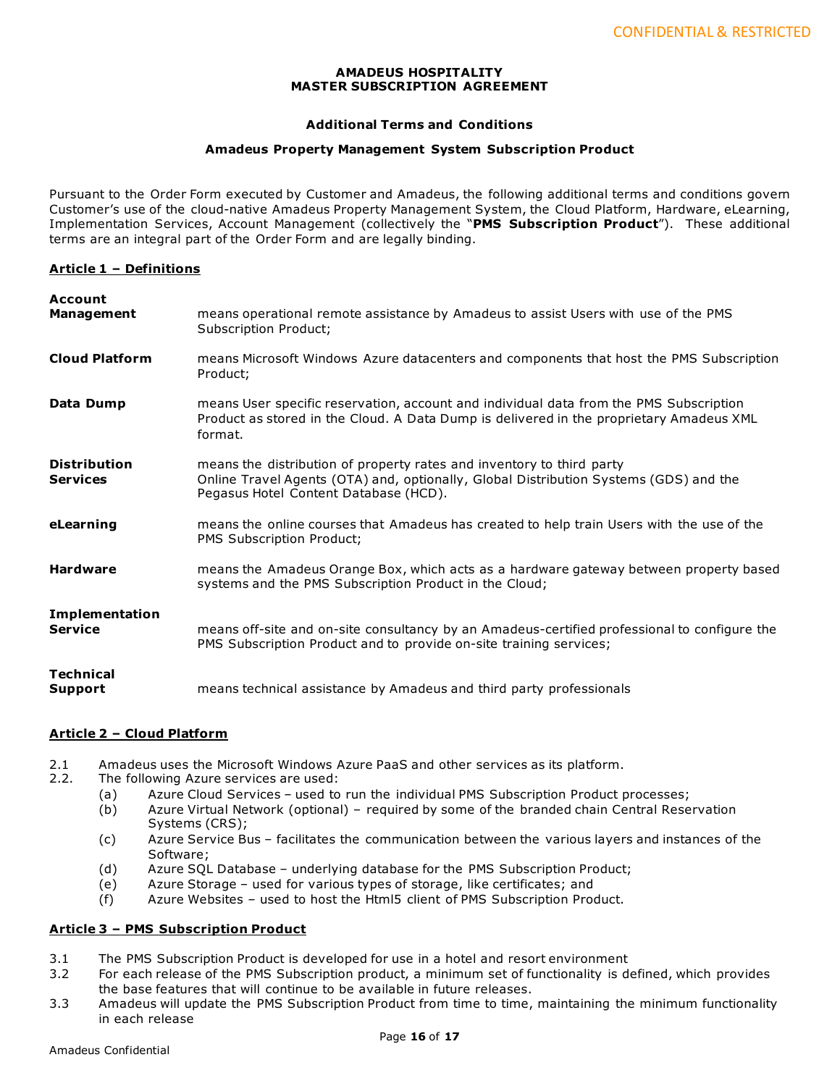## **AMADEUS HOSPITALITY MASTER SUBSCRIPTION AGREEMENT**

# **Additional Terms and Conditions**

## **Amadeus Property Management System Subscription Product**

Pursuant to the Order Form executed by Customer and Amadeus, the following additional terms and conditions govern Customer's use of the cloud-native Amadeus Property Management System, the Cloud Platform, Hardware, eLearning, Implementation Services, Account Management (collectively the "**PMS Subscription Product**"). These additional terms are an integral part of the Order Form and are legally binding.

## **Article 1 – Definitions**

| <b>Account</b><br><b>Management</b>     | means operational remote assistance by Amadeus to assist Users with use of the PMS<br>Subscription Product;                                                                                             |
|-----------------------------------------|---------------------------------------------------------------------------------------------------------------------------------------------------------------------------------------------------------|
| <b>Cloud Platform</b>                   | means Microsoft Windows Azure datacenters and components that host the PMS Subscription<br>Product;                                                                                                     |
| Data Dump                               | means User specific reservation, account and individual data from the PMS Subscription<br>Product as stored in the Cloud. A Data Dump is delivered in the proprietary Amadeus XML<br>format.            |
| <b>Distribution</b><br><b>Services</b>  | means the distribution of property rates and inventory to third party<br>Online Travel Agents (OTA) and, optionally, Global Distribution Systems (GDS) and the<br>Pegasus Hotel Content Database (HCD). |
| eLearning                               | means the online courses that Amadeus has created to help train Users with the use of the<br>PMS Subscription Product;                                                                                  |
| <b>Hardware</b>                         | means the Amadeus Orange Box, which acts as a hardware gateway between property based<br>systems and the PMS Subscription Product in the Cloud;                                                         |
| <b>Implementation</b><br><b>Service</b> | means off-site and on-site consultancy by an Amadeus-certified professional to configure the<br>PMS Subscription Product and to provide on-site training services;                                      |
| <b>Technical</b><br>Support             | means technical assistance by Amadeus and third party professionals                                                                                                                                     |

# **Article 2 – Cloud Platform**

- 2.1 Amadeus uses the Microsoft Windows Azure PaaS and other services as its platform.<br>2.2. The following Azure services are used:
- The following Azure services are used:
	- (a) Azure Cloud Services used to run the individual PMS Subscription Product processes;
	- (b) Azure Virtual Network (optional) required by some of the branded chain Central Reservation Systems (CRS);
	- (c) Azure Service Bus facilitates the communication between the various layers and instances of the Software;
	- (d) Azure SQL Database underlying database for the PMS Subscription Product;
	- (e) Azure Storage used for various types of storage, like certificates; and
	- (f) Azure Websites used to host the Html5 client of PMS Subscription Product.

## **Article 3 – PMS Subscription Product**

- 3.1 The PMS Subscription Product is developed for use in a hotel and resort environment
- 3.2 For each release of the PMS Subscription product, a minimum set of functionality is defined, which provides the base features that will continue to be available in future releases.
- 3.3 Amadeus will update the PMS Subscription Product from time to time, maintaining the minimum functionality in each release